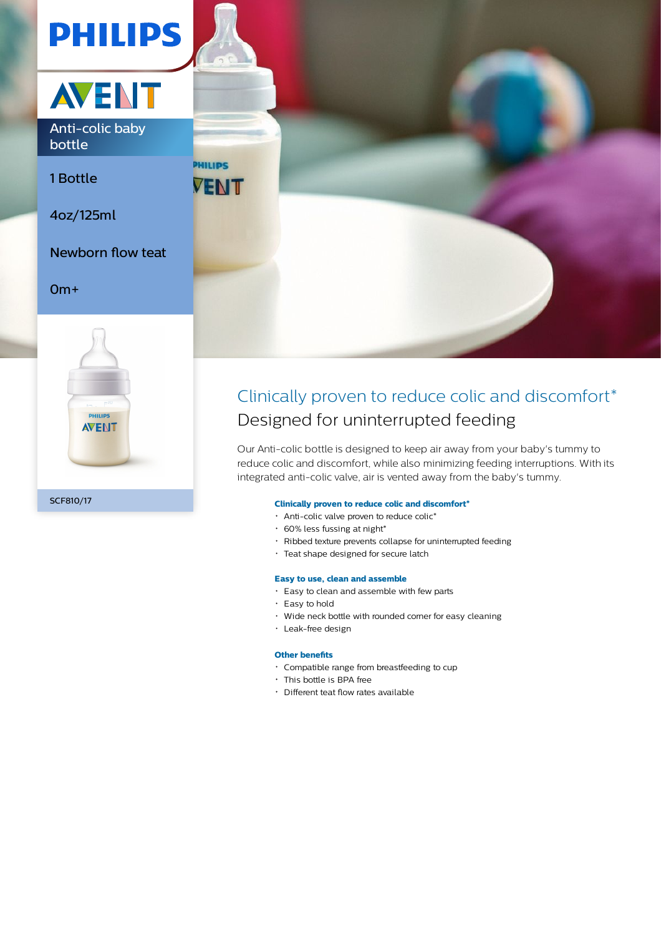



Anti-colic baby bottle

1 Bottle

4oz/125ml

Newborn flow teat

# 0m+





# Clinically proven to reduce colic and discomfort\* Designed for uninterrupted feeding

Our Anti-colic bottle is designed to keep air away from your baby's tummy to reduce colic and discomfort, while also minimizing feeding interruptions. With its integrated anti-colic valve, air is vented away from the baby's tummy.

# **Clinically proven to reduce colic and discomfort\***

- Anti-colic valve proven to reduce colic\*
- $\cdot$  60% less fussing at night\*
- Ribbed texture prevents collapse for uninterrupted feeding
- Teat shape designed for secure latch

#### **Easy to use, clean and assemble**

- Easy to clean and assemble with few parts
- Easy to hold
- Wide neck bottle with rounded corner for easy cleaning
- Leak-free design

#### **Other benefits**

- Compatible range from breastfeeding to cup
- This bottle is BPA free
- Different teat flow rates available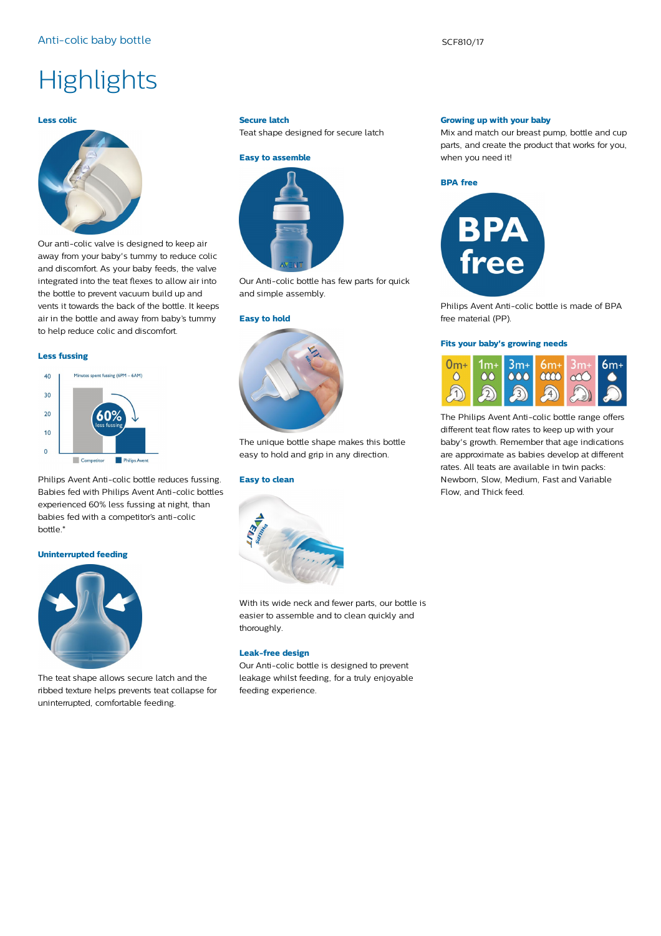# **Highlights**

# **Less colic**



Our anti-colic valve is designed to keep air away from your baby's tummy to reduce colic and discomfort. As your baby feeds, the valve integrated into the teat flexes to allow air into the bottle to prevent vacuum build up and vents it towards the back of the bottle. It keeps air in the bottle and away from baby's tummy to help reduce colic and discomfort.

#### **Less fussing**

# Minutes spent fussing (6PM - 6AM)  $40$  $30$  $20$  $10$  $\Omega$  $\Box$  Co **Philips Avent**

Philips Avent Anti-colic bottle reduces fussing. Babies fed with Philips Avent Anti-colic bottles experienced 60% less fussing at night, than babies fed with a competitor's anti-colic bottle.\*

#### **Uninterrupted feeding**



The teat shape allows secure latch and the ribbed texture helps prevents teat collapse for uninterrupted, comfortable feeding.

#### **Secure latch**

Teat shape designed for secure latch



Our Anti-colic bottle has few parts for quick and simple assembly.

#### **Easy to hold**



The unique bottle shape makes this bottle easy to hold and grip in any direction.

# **Easy to clean**



With its wide neck and fewer parts, our bottle is easier to assemble and to clean quickly and thoroughly.

### **Leak-free design**

Our Anti-colic bottle is designed to prevent leakage whilst feeding, for a truly enjoyable feeding experience.

#### **Growing up with your baby**

Mix and match our breast pump, bottle and cup parts, and create the product that works for you, when you need it!





Philips Avent Anti-colic bottle is made of BPA free material (PP).

#### **Fits your baby's growing needs**



The Philips Avent Anti-colic bottle range offers different teat flow rates to keep up with your baby's growth. Remember that age indications are approximate as babies develop at different rates. All teats are available in twin packs: Newborn, Slow, Medium, Fast and Variable Flow, and Thick feed.